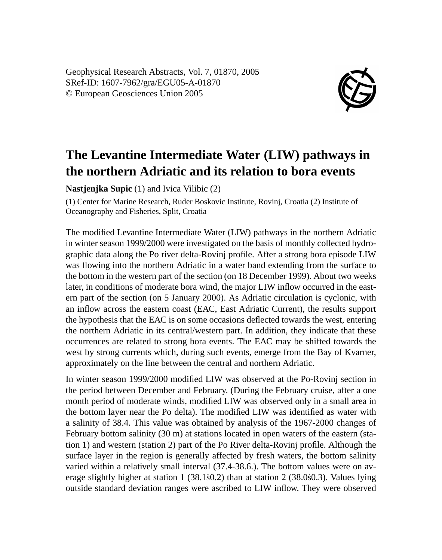Geophysical Research Abstracts, Vol. 7, 01870, 2005 SRef-ID: 1607-7962/gra/EGU05-A-01870 © European Geosciences Union 2005



## **The Levantine Intermediate Water (LIW) pathways in the northern Adriatic and its relation to bora events**

**Nastjenjka Supic** (1) and Ivica Vilibic (2)

(1) Center for Marine Research, Ruder Boskovic Institute, Rovinj, Croatia (2) Institute of Oceanography and Fisheries, Split, Croatia

The modified Levantine Intermediate Water (LIW) pathways in the northern Adriatic in winter season 1999/2000 were investigated on the basis of monthly collected hydrographic data along the Po river delta-Rovinj profile. After a strong bora episode LIW was flowing into the northern Adriatic in a water band extending from the surface to the bottom in the western part of the section (on 18 December 1999). About two weeks later, in conditions of moderate bora wind, the major LIW inflow occurred in the eastern part of the section (on 5 January 2000). As Adriatic circulation is cyclonic, with an inflow across the eastern coast (EAC, East Adriatic Current), the results support the hypothesis that the EAC is on some occasions deflected towards the west, entering the northern Adriatic in its central/western part. In addition, they indicate that these occurrences are related to strong bora events. The EAC may be shifted towards the west by strong currents which, during such events, emerge from the Bay of Kvarner, approximately on the line between the central and northern Adriatic.

In winter season 1999/2000 modified LIW was observed at the Po-Rovinj section in the period between December and February. (During the February cruise, after a one month period of moderate winds, modified LIW was observed only in a small area in the bottom layer near the Po delta). The modified LIW was identified as water with a salinity of 38.4. This value was obtained by analysis of the 1967-2000 changes of February bottom salinity (30 m) at stations located in open waters of the eastern (station 1) and western (station 2) part of the Po River delta-Rovinj profile. Although the surface layer in the region is generally affected by fresh waters, the bottom salinity varied within a relatively small interval (37.4-38.6.). The bottom values were on average slightly higher at station  $1$  (38.1 $\epsilon$ 0.2) than at station 2 (38.0 $\epsilon$ 0.3). Values lying outside standard deviation ranges were ascribed to LIW inflow. They were observed